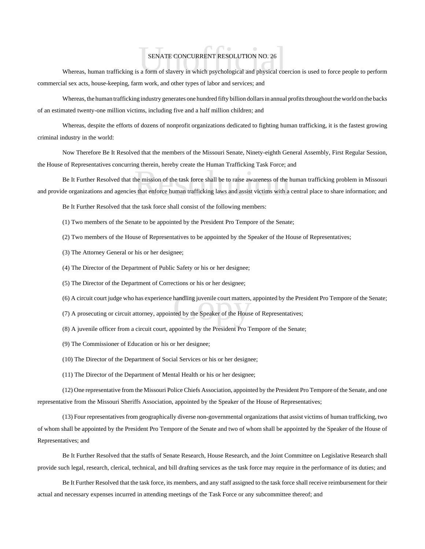## SENATE CONCURRENT RESOLUTION NO. 26

SENATE CONCURRENT RESOLUTION NO. 26<br>Whereas, human trafficking is a form of slavery in which psychological and physical coercion is used to force people to perform commercial sex acts, house-keeping, farm work, and other types of labor and services; and

Whereas, the human trafficking industry generates one hundred fifty billion dollars in annual profits throughout the world on the backs of an estimated twenty-one million victims, including five and a half million children; and

Whereas, despite the efforts of dozens of nonprofit organizations dedicated to fighting human trafficking, it is the fastest growing criminal industry in the world:

Now Therefore Be It Resolved that the members of the Missouri Senate, Ninety-eighth General Assembly, First Regular Session, the House of Representatives concurring therein, hereby create the Human Trafficking Task Force; and

the mission of the task force shall be to raise awareness of the l<br>s that enforce human trafficking laws and assist victims with a Be It Further Resolved that the mission of the task force shall be to raise awareness of the human trafficking problem in Missouri and provide organizations and agencies that enforce human trafficking laws and assist victims with a central place to share information; and

Be It Further Resolved that the task force shall consist of the following members:

(1) Two members of the Senate to be appointed by the President Pro Tempore of the Senate;

(2) Two members of the House of Representatives to be appointed by the Speaker of the House of Representatives;

(3) The Attorney General or his or her designee;

- (4) The Director of the Department of Public Safety or his or her designee;
- (5) The Director of the Department of Corrections or his or her designee;
- (6) A circuit court judge who has experience handling juvenile court matters, appointed by the President Pro Tempore of the Senate;<br>(7) A prosecuting or circuit attorney, appointed by the Speaker of the House of Representa
- (7) A prosecuting or circuit attorney, appointed by the Speaker of the House of Representatives;
- (8) A juvenile officer from a circuit court, appointed by the President Pro Tempore of the Senate;
- (9) The Commissioner of Education or his or her designee;

(10) The Director of the Department of Social Services or his or her designee;

(11) The Director of the Department of Mental Health or his or her designee;

(12) One representative from the Missouri Police Chiefs Association, appointed by the President Pro Tempore of the Senate, and one representative from the Missouri Sheriffs Association, appointed by the Speaker of the House of Representatives;

(13) Four representatives from geographically diverse non-governmental organizations that assist victims of human trafficking, two of whom shall be appointed by the President Pro Tempore of the Senate and two of whom shall be appointed by the Speaker of the House of Representatives; and

Be It Further Resolved that the staffs of Senate Research, House Research, and the Joint Committee on Legislative Research shall provide such legal, research, clerical, technical, and bill drafting services as the task force may require in the performance of its duties; and

Be It Further Resolved that the task force, its members, and any staff assigned to the task force shall receive reimbursement for their actual and necessary expenses incurred in attending meetings of the Task Force or any subcommittee thereof; and